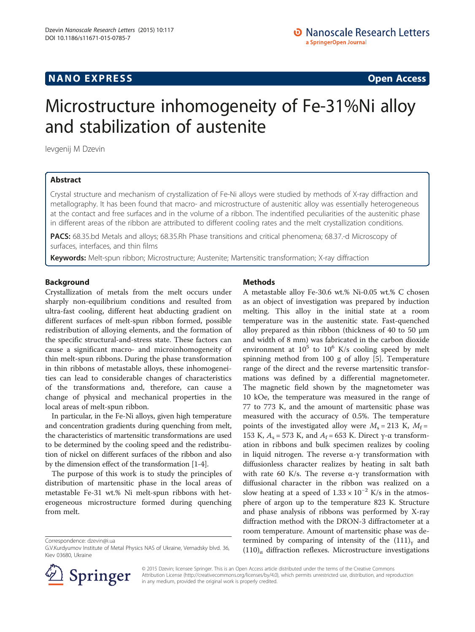## **NANO EXPRESS** Open Access and the set of the set of the set of the set of the set of the set of the set of the set of the set of the set of the set of the set of the set of the set of the set of the set of the set of the

# Microstructure inhomogeneity of Fe-31%Ni alloy and stabilization of austenite

Ievgenij M Dzevin

## Abstract

Сrystal structure and mechanism of crystallization of Fe-Ni alloys were studied by methods of X-ray diffraction and metallography. It has been found that macro- and microstructure of austenitic alloy was essentially heterogeneous at the contact and free surfaces and in the volume of a ribbon. The indentified peculiarities of the austenitic phase in different areas of the ribbon are attributed to different cooling rates and the melt crystallization conditions.

PACS: 68.35.bd Metals and alloys; 68.35.Rh Phase transitions and critical phenomena; 68.37.-d Microscopy of surfaces, interfaces, and thin films

Keywords: Melt-spun ribbon; Microstructure; Austenite; Martensitic transformation; X-ray diffraction

### Background

Crystallization of metals from the melt occurs under sharply non-equilibrium conditions and resulted from ultra-fast cooling, different heat abducting gradient on different surfaces of melt-spun ribbon formed, possible redistribution of alloying elements, and the formation of the specific structural-and-stress state. These factors can cause a significant macro- and microinhomogeneity of thin melt-spun ribbons. During the phase transformation in thin ribbons of metastable alloys, these inhomogeneities can lead to considerable changes of characteristics of the transformations and, therefore, can cause a change of physical and mechanical properties in the local areas of melt-spun ribbon.

In particular, in the Fe-Ni alloys, given high temperature and concentration gradients during quenching from melt, the characteristics of martensitic transformations are used to be determined by the cooling speed and the redistribution of nickel on different surfaces of the ribbon and also by the dimension effect of the transformation [\[1](#page-3-0)-[4\]](#page-3-0).

The purpose of this work is to study the principles of distribution of martensitic phase in the local areas of metastable Fe-31 wt.% Ni melt-spun ribbons with heterogeneous microstructure formed during quenching from melt.

Correspondence: [dzevin@i.ua](mailto:dzevin@i.ua)

## Methods

A metastable alloy Fe-30.6 wt.% Ni-0.05 wt.% С chosen as an object of investigation was prepared by induction melting. This alloy in the initial state at a room temperature was in the austenitic state. Fast-quenched alloy prepared as thin ribbon (thickness of 40 to 50 μm and width of 8 mm) was fabricated in the carbon dioxide environment at  $10^5$  to  $10^6$  K/s cooling speed by melt spinning method from 100 g of alloy [[5\]](#page-3-0). Temperature range of the direct and the reverse martensitic transformations was defined by a differential magnetometer. The magnetic field shown by the magnetometer was 10 kOe, the temperature was measured in the range of 77 to 773 K, and the amount of martensitic phase was measured with the accuracy of 0.5%. The temperature points of the investigated alloy were  $M_s = 213$  K,  $M_f =$ 153 K,  $A_s$  = 573 K, and  $A_f$  = 653 K. Direct γ-α transformation in ribbons and bulk specimen realizes by cooling in liquid nitrogen. The reverse  $α$ -γ transformation with diffusionless character realizes by heating in salt bath with rate 60 K/s. The reverse α-γ transformation with diffusional character in the ribbon was realized on a slow heating at a speed of  $1.33 \times 10^{-2}$  K/s in the atmosphere of argon up to the temperature 823 K. Structure and phase analysis of ribbons was performed by X-ray diffraction method with the DRON-3 diffractometer at a room temperature. Amount of martensitic phase was determined by comparing of intensity of the  $(111)<sub>y</sub>$  and  $(110)$ <sub>α</sub> diffraction reflexes. Microstructure investigations



© 2015 Dzevin; licensee Springer. This is an Open Access article distributed under the terms of the Creative Commons Attribution License [\(http://creativecommons.org/licenses/by/4.0\)](http://creativecommons.org/licenses/by/4.0), which permits unrestricted use, distribution, and reproduction in any medium, provided the original work is properly credited.

G.V.Kurdyumov Institute of Metal Physics NAS of Ukraine, Vernadsky blvd. 36, Kiev 03680, Ukraine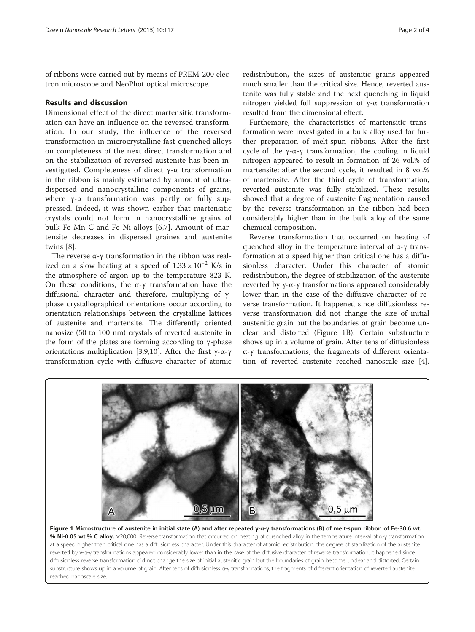<span id="page-1-0"></span>of ribbons were carried out by means of PREM-200 electron microscope and NeoPhot optical microscope.

## Results and discussion

Dimensional effect of the direct martensitic transformation can have an influence on the reversed transformation. In our study, the influence of the reversed transformation in microcrystalline fast-quenched alloys on completeness of the next direct transformation and on the stabilization of reversed austenite has been investigated. Completeness of direct γ-α transformation in the ribbon is mainly estimated by amount of ultradispersed and nanocrystalline components of grains, where  $\gamma$ - $\alpha$  transformation was partly or fully suppressed. Indeed, it was shown earlier that martensitic crystals could not form in nanocrystalline grains of bulk Fe-Mn-C and Fe-Ni alloys [\[6](#page-3-0),[7\]](#page-3-0). Amount of martensite decreases in dispersed graines and austenite twins [\[8\]](#page-3-0).

The reverse  $\alpha$ -γ transformation in the ribbon was realized on a slow heating at a speed of  $1.33 \times 10^{-2}$  K/s in the atmosphere of argon up to the temperature 823 K. On these conditions, the α-γ transformation have the diffusional character and therefore, multiplying of γphase crystallographical orientations occur according to orientation relationships between the crystalline lattices of austenite and martensite. The differently oriented nanosize (50 to 100 nm) crystals of reverted austenite in the form of the plates are forming according to γ-phase orientations multiplication [[3,9,10\]](#page-3-0). After the first γ-α-γ transformation cycle with diffusive character of atomic redistribution, the sizes of austenitic grains appeared much smaller than the critical size. Hence, reverted austenite was fully stable and the next quenching in liquid nitrogen yielded full suppression of γ-α transformation resulted from the dimensional effect.

Furthemore, the characteristics of martensitic transformation were investigated in a bulk alloy used for further preparation of melt-spun ribbons. After the first cycle of the γ-α-γ transformation, the cooling in liquid nitrogen appeared to result in formation of 26 vol.% of martensite; after the second cycle, it resulted in 8 vol.% of martensite. After the third cycle of transformation, reverted austenite was fully stabilized. These results showed that a degree of austenite fragmentation caused by the reverse transformation in the ribbon had been considerably higher than in the bulk alloy of the same chemical composition.

Reverse transformation that occurred on heating of quenched alloy in the temperature interval of  $α$ -γ transformation at a speed higher than critical one has a diffusionless character. Under this character of atomic redistribution, the degree of stabilization of the austenite reverted by γ-α-γ transformations appeared considerably lower than in the case of the diffusive character of reverse transformation. It happened since diffusionless reverse transformation did not change the size of initial austenitic grain but the boundaries of grain become unclear and distorted (Figure 1B). Certain substructure shows up in a volume of grain. After tens of diffusionless α-γ transformations, the fragments of different orientation of reverted austenite reached nanoscale size [\[4](#page-3-0)].



Figure 1 Microstructure of austenite in initial state (A) and after repeated γ-α-γ transformations (B) of melt-spun ribbon of Fe-30.6 wt. % Ni-0.05 wt.% C alloy. ×20,000. Reverse transformation that occurred on heating of quenched alloy in the temperature interval of α-γ transformation at a speed higher than critical one has a diffusionless character. Under this character of atomic redistribution, the degree of stabilization of the austenite reverted by γ-α-γ transformations appeared considerably lower than in the case of the diffusive character of reverse transformation. It happened since diffusionless reverse transformation did not change the size of initial austenitic grain but the boundaries of grain become unclear and distorted. Certain substructure shows up in a volume of grain. After tens of diffusionless α-γ transformations, the fragments of different orientation of reverted austenite reached nanoscale size.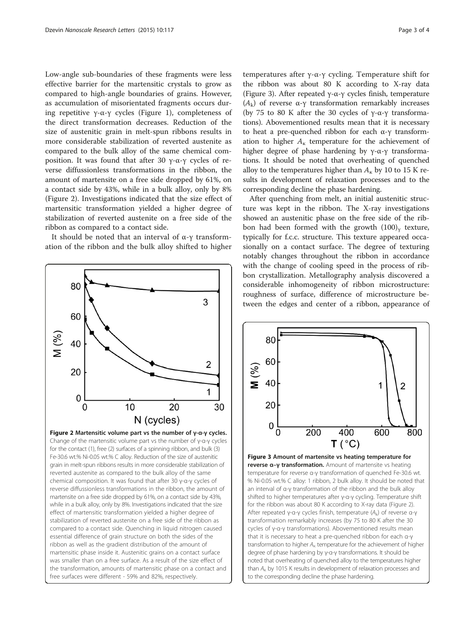<span id="page-2-0"></span>Low-angle sub-boundaries of these fragments were less effective barrier for the martensitic crystals to grow as compared to high-angle boundaries of grains. However, as accumulation of misorientated fragments occurs dur-ing repetitive γ-α-γ cycles (Figure [1](#page-1-0)), completeness of the direct transformation decreases. Reduction of the size of austenitic grain in melt-spun ribbons results in more considerable stabilization of reverted austenite as compared to the bulk alloy of the same chemical composition. It was found that after 30 γ-α-γ cycles of reverse diffussionless transformations in the ribbon, the amount of martensite on a free side dropped by 61%, on a contact side by 43%, while in a bulk alloy, only by 8% (Figure 2). Investigations indicated that the size effect of martensitic transformation yielded a higher degree of stabilization of reverted austenite on a free side of the ribbon as compared to a contact side.

It should be noted that an interval of α-γ transformation of the ribbon and the bulk alloy shifted to higher



temperatures after γ-α-γ cycling. Temperature shift for the ribbon was about 80 K according to X-ray data (Figure 3). After repeated γ-α-γ cycles finish, temperature ( $A_k$ ) of reverse α-γ transformation remarkably increases (by 75 to 80 K after the 30 cycles of  $γ$ -α-γ transformations). Abovementioned results mean that it is necessary to heat a pre-quenched ribbon for each α-γ transformation to higher  $A_{\kappa}$  temperature for the achievement of higher degree of phase hardening by γ-α-γ transformations. It should be noted that overheating of quenched alloy to the temperatures higher than  $A_{\kappa}$  by 10 to 15 K results in development of relaxation processes and to the corresponding decline the phase hardening.

After quenching from melt, an initial austenitic structure was kept in the ribbon. The X-ray investigations showed an austenitic phase on the free side of the ribbon had been formed with the growth  $(100)$ <sub>v</sub> texture, typically for f.c.c. structure. This texture appeared occasionally on a contact surface. The degree of texturing notably changes throughout the ribbon in accordance with the change of cooling speed in the process of ribbon crystallization. Metallography analysis discovered a considerable inhomogeneity of ribbon microstructure: roughness of surface, difference of microstructure between the edges and center of a ribbon, appearance of



Figure 3 Amount of martensite vs heating temperature for reverse α–γ transformation. Amount of martensite vs heating temperature for reverse α-γ transformation of quenched Fe-30.6 wt. % Ni-0.05 wt.% C alloy: 1 ribbon, 2 bulk alloy. It should be noted that an interval of α-γ transformation of the ribbon and the bulk alloy shifted to higher temperatures after γ-α-γ cycling. Temperature shift for the ribbon was about 80 K according to X-ray data (Figure 2). After repeated γ-α-γ cycles finish, temperature  $(A_k)$  of reverse α-γ transformation remarkably increases (by 75 to 80 K after the 30 cycles of γ-α-γ transformations). Abovementioned results mean that it is necessary to heat a pre-quenched ribbon for each α-γ transformation to higher  $A_{\kappa}$  temperature for the achievement of higher degree of phase hardening by γ-α-γ transformations. It should be noted that overheating of quenched alloy to the temperatures higher than  $A_{K}$  by 1015 K results in development of relaxation processes and to the corresponding decline the phase hardening.